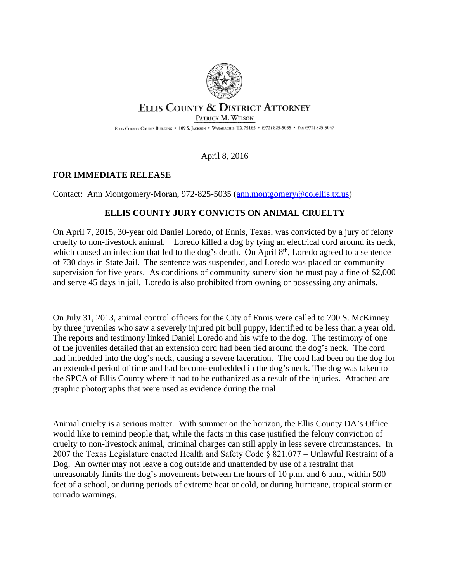

## ELLIS COUNTY & DISTRICT ATTORNEY

PATRICK M. WILSON

ELLIS COUNTY COURTS BUILDING . 109 S. JACKSON . WAXAHACHIE, TX 75165 . (972) 825-5035 . FAX (972) 825-5047

April 8, 2016

## **FOR IMMEDIATE RELEASE**

Contact: Ann Montgomery-Moran, 972-825-5035 ([ann.montgomery@co.ellis.tx.us\)](mailto:ann.montgomery@co.ellis.tx.us)

## **ELLIS COUNTY JURY CONVICTS ON ANIMAL CRUELTY**

On April 7, 2015, 30-year old Daniel Loredo, of Ennis, Texas, was convicted by a jury of felony cruelty to non-livestock animal. Loredo killed a dog by tying an electrical cord around its neck, which caused an infection that led to the dog's death. On April 8<sup>th</sup>, Loredo agreed to a sentence of 730 days in State Jail. The sentence was suspended, and Loredo was placed on community supervision for five years. As conditions of community supervision he must pay a fine of \$2,000 and serve 45 days in jail. Loredo is also prohibited from owning or possessing any animals.

On July 31, 2013, animal control officers for the City of Ennis were called to 700 S. McKinney by three juveniles who saw a severely injured pit bull puppy, identified to be less than a year old. The reports and testimony linked Daniel Loredo and his wife to the dog. The testimony of one of the juveniles detailed that an extension cord had been tied around the dog's neck. The cord had imbedded into the dog's neck, causing a severe laceration. The cord had been on the dog for an extended period of time and had become embedded in the dog's neck. The dog was taken to the SPCA of Ellis County where it had to be euthanized as a result of the injuries. Attached are graphic photographs that were used as evidence during the trial.

Animal cruelty is a serious matter. With summer on the horizon, the Ellis County DA's Office would like to remind people that, while the facts in this case justified the felony conviction of cruelty to non-livestock animal, criminal charges can still apply in less severe circumstances. In 2007 the Texas Legislature enacted Health and Safety Code § 821.077 – Unlawful Restraint of a Dog. An owner may not leave a dog outside and unattended by use of a restraint that unreasonably limits the dog's movements between the hours of 10 p.m. and 6 a.m., within 500 feet of a school, or during periods of extreme heat or cold, or during hurricane, tropical storm or tornado warnings.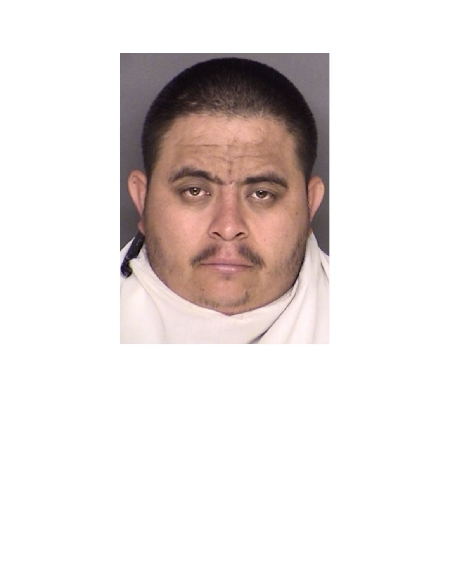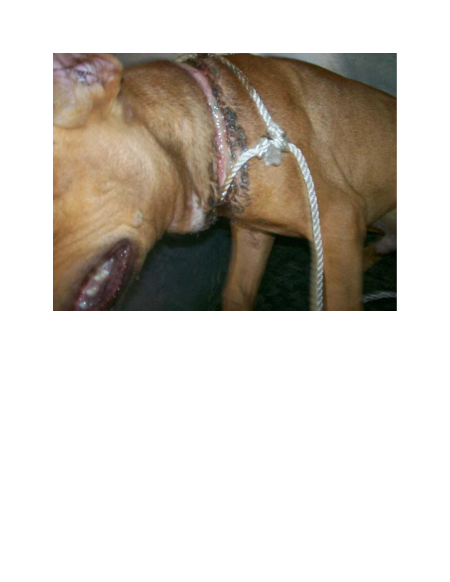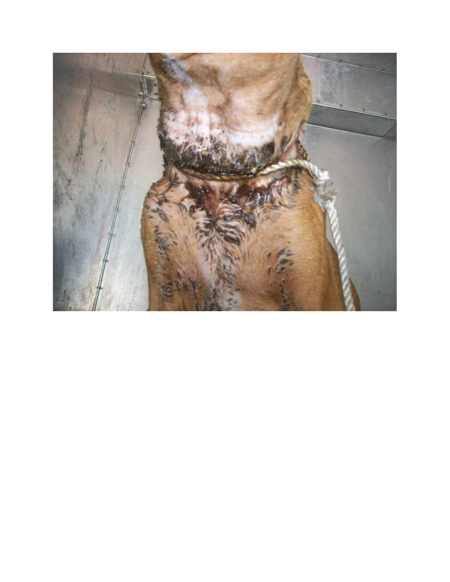